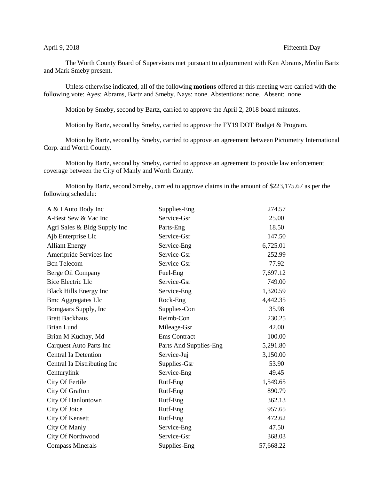## April 9, 2018 Fifteenth Day

The Worth County Board of Supervisors met pursuant to adjournment with Ken Abrams, Merlin Bartz and Mark Smeby present.

Unless otherwise indicated, all of the following **motions** offered at this meeting were carried with the following vote: Ayes: Abrams, Bartz and Smeby. Nays: none. Abstentions: none. Absent: none

Motion by Smeby, second by Bartz, carried to approve the April 2, 2018 board minutes.

Motion by Bartz, second by Smeby, carried to approve the FY19 DOT Budget & Program.

Motion by Bartz, second by Smeby, carried to approve an agreement between Pictometry International Corp. and Worth County.

Motion by Bartz, second by Smeby, carried to approve an agreement to provide law enforcement coverage between the City of Manly and Worth County.

Motion by Bartz, second Smeby, carried to approve claims in the amount of \$223,175.67 as per the following schedule:

| A & I Auto Body Inc            | Supplies-Eng           | 274.57    |
|--------------------------------|------------------------|-----------|
| A-Best Sew & Vac Inc           | Service-Gsr            | 25.00     |
| Agri Sales & Bldg Supply Inc   | Parts-Eng              | 18.50     |
| Ajb Enterprise Llc             | Service-Gsr            | 147.50    |
| <b>Alliant Energy</b>          | Service-Eng            | 6,725.01  |
| Ameripride Services Inc        | Service-Gsr            | 252.99    |
| <b>Bcn</b> Telecom             | Service-Gsr            | 77.92     |
| Berge Oil Company              | Fuel-Eng               | 7,697.12  |
| <b>Bice Electric Llc</b>       | Service-Gsr            | 749.00    |
| <b>Black Hills Energy Inc</b>  | Service-Eng            | 1,320.59  |
| <b>Bmc Aggregates Llc</b>      | Rock-Eng               | 4,442.35  |
| Bomgaars Supply, Inc.          | Supplies-Con           | 35.98     |
| <b>Brett Backhaus</b>          | Reimb-Con              | 230.25    |
| <b>Brian Lund</b>              | Mileage-Gsr            | 42.00     |
| Brian M Kuchay, Md             | <b>Ems</b> Contract    | 100.00    |
| <b>Carquest Auto Parts Inc</b> | Parts And Supplies-Eng | 5,291.80  |
| <b>Central Ia Detention</b>    | Service-Juj            | 3,150.00  |
| Central Ia Distributing Inc    | Supplies-Gsr           | 53.90     |
| Centurylink                    | Service-Eng            | 49.45     |
| City Of Fertile                | Rutf-Eng               | 1,549.65  |
| City Of Grafton                | Rutf-Eng               | 890.79    |
| City Of Hanlontown             | Rutf-Eng               | 362.13    |
| City Of Joice                  | Rutf-Eng               | 957.65    |
| City Of Kensett                | Rutf-Eng               | 472.62    |
| City Of Manly                  | Service-Eng            | 47.50     |
| City Of Northwood              | Service-Gsr            | 368.03    |
| <b>Compass Minerals</b>        | Supplies-Eng           | 57,668.22 |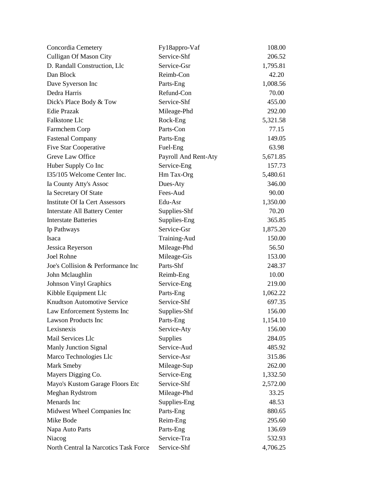| Concordia Cemetery                    | Fy18appro-Vaf        | 108.00   |
|---------------------------------------|----------------------|----------|
| <b>Culligan Of Mason City</b>         | Service-Shf          | 206.52   |
| D. Randall Construction, Llc          | Service-Gsr          | 1,795.81 |
| Dan Block                             | Reimb-Con            | 42.20    |
| Dave Syverson Inc                     | Parts-Eng            | 1,008.56 |
| Dedra Harris                          | Refund-Con           | 70.00    |
| Dick's Place Body & Tow               | Service-Shf          | 455.00   |
| <b>Edie Prazak</b>                    | Mileage-Phd          | 292.00   |
| Falkstone Llc                         | Rock-Eng             | 5,321.58 |
| Farmchem Corp                         | Parts-Con            | 77.15    |
| <b>Fastenal Company</b>               | Parts-Eng            | 149.05   |
| Five Star Cooperative                 | Fuel-Eng             | 63.98    |
| Greve Law Office                      | Payroll And Rent-Aty | 5,671.85 |
| Huber Supply Co Inc                   | Service-Eng          | 157.73   |
| I35/105 Welcome Center Inc.           | Hm Tax-Org           | 5,480.61 |
| Ia County Atty's Assoc                | Dues-Aty             | 346.00   |
| Ia Secretary Of State                 | Fees-Aud             | 90.00    |
| <b>Institute Of Ia Cert Assessors</b> | Edu-Asr              | 1,350.00 |
| <b>Interstate All Battery Center</b>  | Supplies-Shf         | 70.20    |
| <b>Interstate Batteries</b>           | Supplies-Eng         | 365.85   |
| Ip Pathways                           | Service-Gsr          | 1,875.20 |
| Isaca                                 | Training-Aud         | 150.00   |
| Jessica Reyerson                      | Mileage-Phd          | 56.50    |
| Joel Rohne                            | Mileage-Gis          | 153.00   |
| Joe's Collision & Performance Inc     | Parts-Shf            | 248.37   |
| John Mclaughlin                       | Reimb-Eng            | 10.00    |
| <b>Johnson Vinyl Graphics</b>         | Service-Eng          | 219.00   |
| Kibble Equipment Llc                  | Parts-Eng            | 1,062.22 |
| <b>Knudtson Automotive Service</b>    | Service-Shf          | 697.35   |
| Law Enforcement Systems Inc           | Supplies-Shf         | 156.00   |
| <b>Lawson Products Inc</b>            | Parts-Eng            | 1,154.10 |
| Lexisnexis                            | Service-Aty          | 156.00   |
| Mail Services Llc                     | <b>Supplies</b>      | 284.05   |
| <b>Manly Junction Signal</b>          | Service-Aud          | 485.92   |
| Marco Technologies Llc                | Service-Asr          | 315.86   |
| Mark Smeby                            | Mileage-Sup          | 262.00   |
| Mayers Digging Co.                    | Service-Eng          | 1,332.50 |
| Mayo's Kustom Garage Floors Etc       | Service-Shf          | 2,572.00 |
| Meghan Rydstrom                       | Mileage-Phd          | 33.25    |
| Menards Inc                           | Supplies-Eng         | 48.53    |
| Midwest Wheel Companies Inc           | Parts-Eng            | 880.65   |
| Mike Bode                             | Reim-Eng             | 295.60   |
| Napa Auto Parts                       | Parts-Eng            | 136.69   |
| Niacog                                | Service-Tra          | 532.93   |
| North Central Ia Narcotics Task Force | Service-Shf          | 4,706.25 |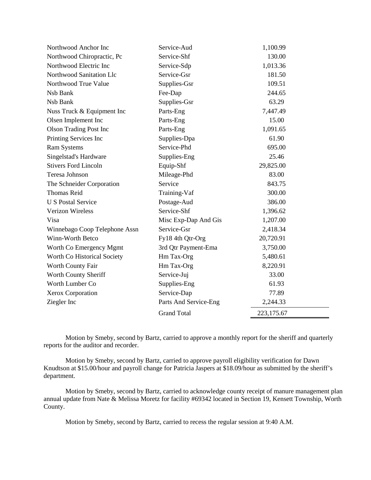| Northwood Anchor Inc          | Service-Aud           | 1,100.99   |
|-------------------------------|-----------------------|------------|
| Northwood Chiropractic, Pc    | Service-Shf           | 130.00     |
| Northwood Electric Inc        | Service-Sdp           | 1,013.36   |
| Northwood Sanitation Llc      | Service-Gsr           | 181.50     |
| Northwood True Value          | Supplies-Gsr          | 109.51     |
| Nsb Bank                      | Fee-Dap               | 244.65     |
| Nsb Bank                      | Supplies-Gsr          | 63.29      |
| Nuss Truck & Equipment Inc    | Parts-Eng             | 7,447.49   |
| Olsen Implement Inc           | Parts-Eng             | 15.00      |
| <b>Olson Trading Post Inc</b> | Parts-Eng             | 1,091.65   |
| Printing Services Inc         | Supplies-Dpa          | 61.90      |
| <b>Ram Systems</b>            | Service-Phd           | 695.00     |
| Singelstad's Hardware         | Supplies-Eng          | 25.46      |
| <b>Stivers Ford Lincoln</b>   | Equip-Shf             | 29,825.00  |
| Teresa Johnson                | Mileage-Phd           | 83.00      |
| The Schneider Corporation     | Service               | 843.75     |
| <b>Thomas Reid</b>            | Training-Vaf          | 300.00     |
| <b>U S Postal Service</b>     | Postage-Aud           | 386.00     |
| <b>Verizon Wireless</b>       | Service-Shf           | 1,396.62   |
| Visa                          | Misc Exp-Dap And Gis  | 1,207.00   |
| Winnebago Coop Telephone Assn | Service-Gsr           | 2,418.34   |
| Winn-Worth Betco              | Fy18 4th Qtr-Org      | 20,720.91  |
| Worth Co Emergency Mgmt       | 3rd Qtr Payment-Ema   | 3,750.00   |
| Worth Co Historical Society   | Hm Tax-Org            | 5,480.61   |
| Worth County Fair             | Hm Tax-Org            | 8,220.91   |
| Worth County Sheriff          | Service-Juj           | 33.00      |
| Worth Lumber Co               | Supplies-Eng          | 61.93      |
| Xerox Corporation             | Service-Dap           | 77.89      |
| Ziegler Inc                   | Parts And Service-Eng | 2,244.33   |
|                               | <b>Grand Total</b>    | 223,175.67 |

Motion by Smeby, second by Bartz, carried to approve a monthly report for the sheriff and quarterly reports for the auditor and recorder.

–

Motion by Smeby, second by Bartz, carried to approve payroll eligibility verification for Dawn Knudtson at \$15.00/hour and payroll change for Patricia Jaspers at \$18.09/hour as submitted by the sheriff's department.

Motion by Smeby, second by Bartz, carried to acknowledge county receipt of manure management plan annual update from Nate & Melissa Moretz for facility #69342 located in Section 19, Kensett Township, Worth County.

Motion by Smeby, second by Bartz, carried to recess the regular session at 9:40 A.M.